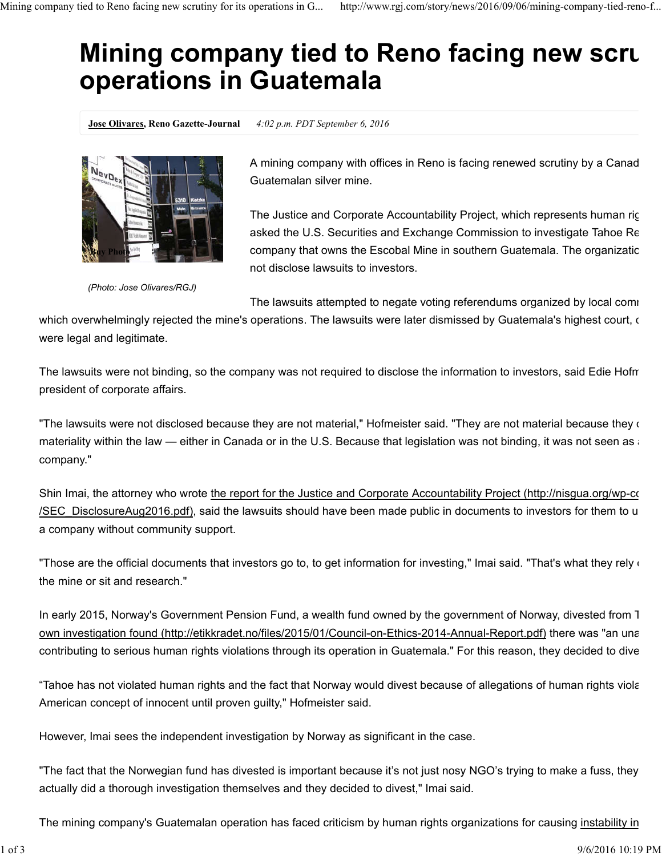## **Mining company tied to Reno facing new scruth operations in Guatemala**

**Jose Olivares, Reno Gazette-Journal** *4:02 p.m. PDT September 6, 2016*



*(Photo: Jose Olivares/RGJ)*

A mining company with offices in Reno is facing renewed scrutiny by a Canad Guatemalan silver mine.

The Justice and Corporate Accountability Project, which represents human rig asked the U.S. Securities and Exchange Commission to investigate Tahoe Re company that owns the Escobal Mine in southern Guatemala. The organizatic not disclose lawsuits to investors.

The lawsuits attempted to negate voting referendums organized by local comm

which overwhelmingly rejected the mine's operations. The lawsuits were later dismissed by Guatemala's highest court, or were legal and legitimate.

The lawsuits were not binding, so the company was not required to disclose the information to investors, said Edie Hofm president of corporate affairs.

"The lawsuits were not disclosed because they are not material," Hofmeister said. "They are not material because they  $\mathfrak c$ materiality within the law — either in Canada or in the U.S. Because that legislation was not binding, it was not seen as a company."

Shin Imai, the attorney who wrote the report for the Justice and Corporate Accountability Project (http://nisgua.org/wp-content /SEC\_DisclosureAug2016.pdf), said the lawsuits should have been made public in documents to investors for them to u a company without community support.

"Those are the official documents that investors go to, to get information for investing," Imai said. "That's what they rely  $\epsilon$ the mine or sit and research."

In early 2015, Norway's Government Pension Fund, a wealth fund owned by the government of Norway, divested from T own investigation found (http://etikkradet.no/files/2015/01/Council-on-Ethics-2014-Annual-Report.pdf) there was "an una contributing to serious human rights violations through its operation in Guatemala." For this reason, they decided to dive

"Tahoe has not violated human rights and the fact that Norway would divest because of allegations of human rights viola American concept of innocent until proven guilty," Hofmeister said.

However, Imai sees the independent investigation by Norway as significant in the case.

"The fact that the Norwegian fund has divested is important because it's not just nosy NGO's trying to make a fuss, they actually did a thorough investigation themselves and they decided to divest," Imai said.

The mining company's Guatemalan operation has faced criticism by human rights organizations for causing instability in